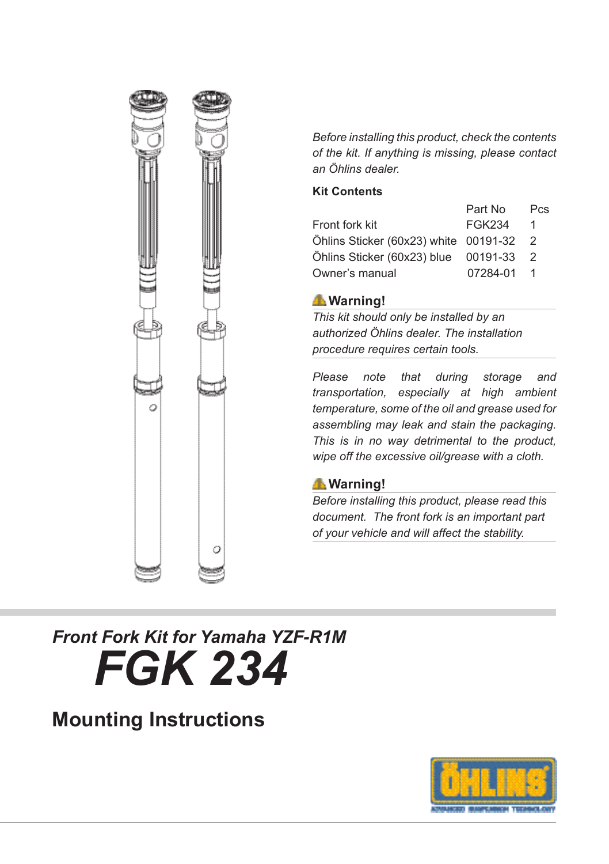

*Before installing this product, check the contents of the kit. If anything is missing, please contact an Öhlins dealer.*

#### **Kit Contents**

|                                       | Part No  | <b>Pcs</b>     |
|---------------------------------------|----------|----------------|
| Front fork kit                        | FGK234   | 1              |
| Öhlins Sticker (60x23) white 00191-32 |          | $\overline{2}$ |
| Öhlins Sticker (60x23) blue 00191-33  |          | $\overline{2}$ |
| Owner's manual                        | 07284-01 |                |

#### **Warning!**

*This kit should only be installed by an authorized Öhlins dealer. The installation procedure requires certain tools.*

*Please note that during storage and transportation, especially at high ambient temperature, some of the oil and grease used for assembling may leak and stain the packaging. This is in no way detrimental to the product, wipe off the excessive oil/grease with a cloth.*

#### **Warning!**

*Before installing this product, please read this document. The front fork is an important part of your vehicle and will affect the stability.*

# *Front Fork Kit for Yamaha YZF-R1M FGK 234*

### **Mounting Instructions**

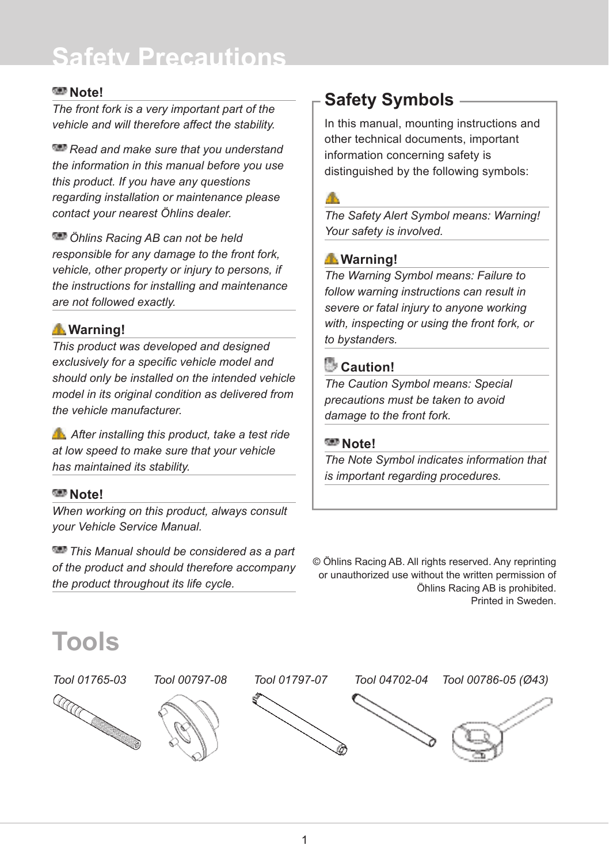# **Safety Precautions**

#### **Note!**

*The front fork is a very important part of the vehicle and will therefore affect the stability.* 

*Read and make sure that you understand the information in this manual before you use this product. If you have any questions regarding installation or maintenance please contact your nearest Öhlins dealer.*

*Öhlins Racing AB can not be held responsible for any damage to the front fork, vehicle, other property or injury to persons, if the instructions for installing and maintenance are not followed exactly.*

#### **Warning!**

*This product was developed and designed*  exclusively for a specific vehicle model and *should only be installed on the intended vehicle model in its original condition as delivered from the vehicle manufacturer.*

 *After installing this product, take a test ride at low speed to make sure that your vehicle has maintained its stability.*

#### **Note!**

*When working on this product, always consult your Vehicle Service Manual.*

*This Manual should be considered as a part of the product and should therefore accompany the product throughout its life cycle.*

### **Safety Symbols**

In this manual, mounting instructions and other technical documents, important information concerning safety is distinguished by the following symbols:

#### 本

*The Safety Alert Symbol means: Warning! Your safety is involved.*

#### **Warning!**

*The Warning Symbol means: Failure to follow warning instructions can result in severe or fatal injury to anyone working with, inspecting or using the front fork, or to bystanders.*

#### **Caution!**

*The Caution Symbol means: Special precautions must be taken to avoid damage to the front fork.*

#### **MB** Note!

*The Note Symbol indicates information that is important regarding procedures.*

© Öhlins Racing AB. All rights reserved. Any reprinting or unauthorized use without the written permission of Öhlins Racing AB is prohibited. Printed in Sweden.

### **Tools**









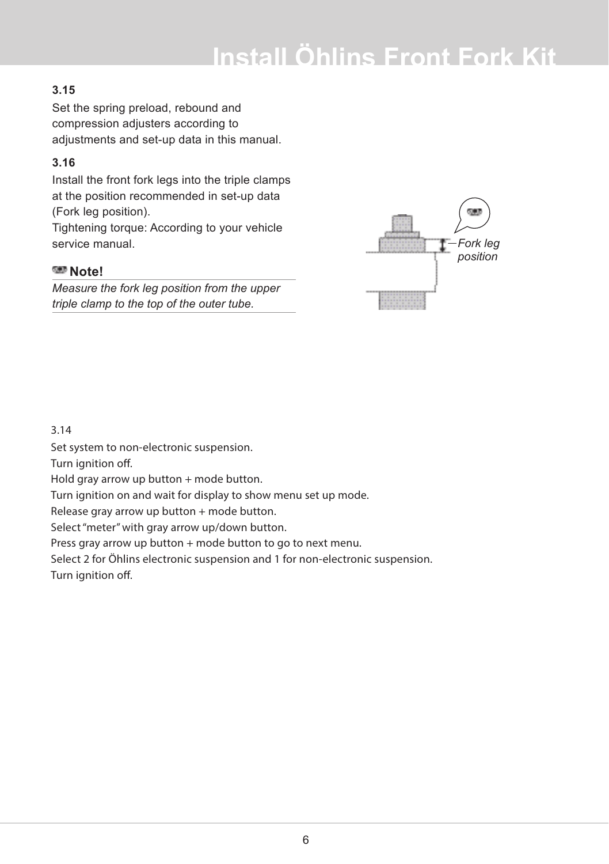# **Install Öhlins Front Fork Kit**

#### **3.15**

Set the spring preload, rebound and compression adjusters according to adjustments and set-up data in this manual.

#### **3.16**

Install the front fork legs into the triple clamps at the position recommended in set-up data (Fork leg position).

Tightening torque: According to your vehicle service manual.

#### **Note!**

*Measure the fork leg position from the upper triple clamp to the top of the outer tube.*



#### 3.14

Set system to non-electronic suspension.

Turn ignition off.

Hold gray arrow up button  $+$  mode button.

Turn ignition on and wait for display to show menu set up mode.

Release gray arrow up button + mode button.

Select "meter" with gray arrow up/down button.

Press gray arrow up button + mode button to go to next menu.

Select 2 for Öhlins electronic suspension and 1 for non-electronic suspension.

Turn ignition off.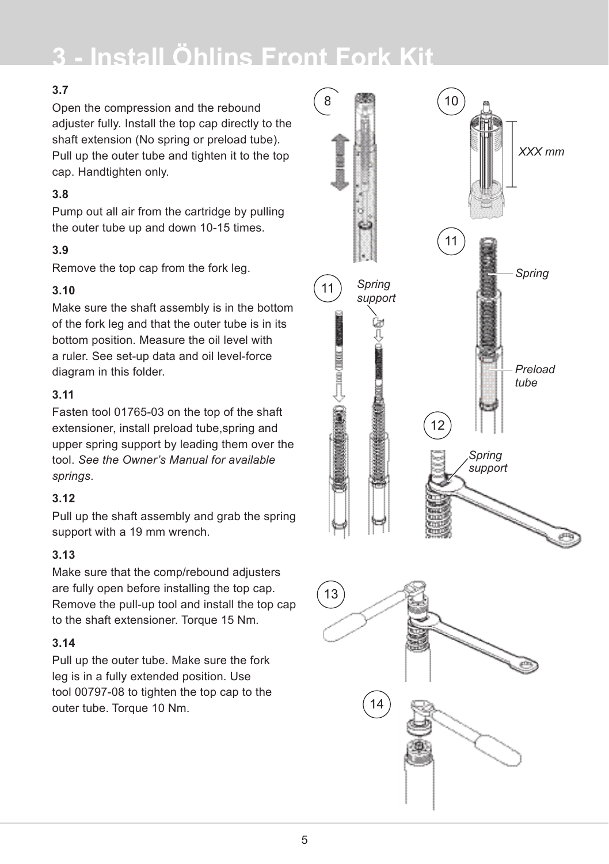# **3 - Install Öhlins Front Fork Kit**

#### **3.7**

Open the compression and the rebound adjuster fully. Install the top cap directly to the shaft extension (No spring or preload tube). Pull up the outer tube and tighten it to the top cap. Handtighten only.

#### **3.8**

Pump out all air from the cartridge by pulling the outer tube up and down 10-15 times.

#### **3.9**

Remove the top cap from the fork leg.

#### **3.10**

Make sure the shaft assembly is in the bottom of the fork leg and that the outer tube is in its bottom position. Measure the oil level with a ruler. See set-up data and oil level-force diagram in this folder.

#### **3.11**

Fasten tool 01765-03 on the top of the shaft extensioner, install preload tube,spring and upper spring support by leading them over the tool. *See the Owner's Manual for available springs*.

#### **3.12**

Pull up the shaft assembly and grab the spring support with a 19 mm wrench.

#### **3.13**

Make sure that the comp/rebound adjusters are fully open before installing the top cap. Remove the pull-up tool and install the top cap to the shaft extensioner. Torque 15 Nm.

#### **3.14**

Pull up the outer tube. Make sure the fork leg is in a fully extended position. Use tool 00797-08 to tighten the top cap to the outer tube. Torque 10 Nm.



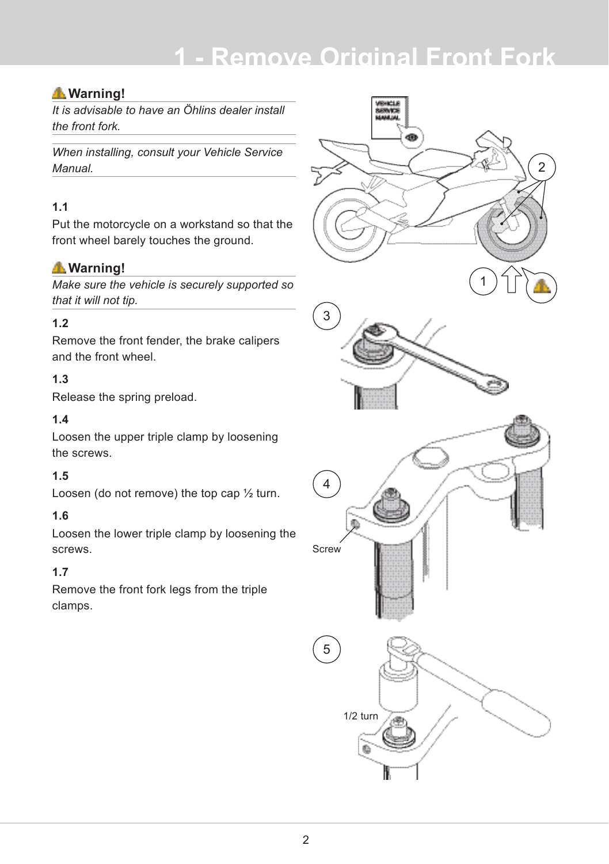## **1 - Remove Original Front Fork**

#### **Warning!**

*It is advisable to have an Öhlins dealer install the front fork.*

*When installing, consult your Vehicle Service Manual.*

#### **1.1**

Put the motorcycle on a workstand so that the front wheel barely touches the ground.

#### **Warning!**

*Make sure the vehicle is securely supported so that it will not tip.*

#### **1.2**

Remove the front fender, the brake calipers and the front wheel.

#### **1.3**

Release the spring preload.

#### **1.4**

Loosen the upper triple clamp by loosening the screws.

#### **1.5**

Loosen (do not remove) the top cap ½ turn.

#### **1.6**

Loosen the lower triple clamp by loosening the screws.

#### **1.7**

Remove the front fork legs from the triple clamps.

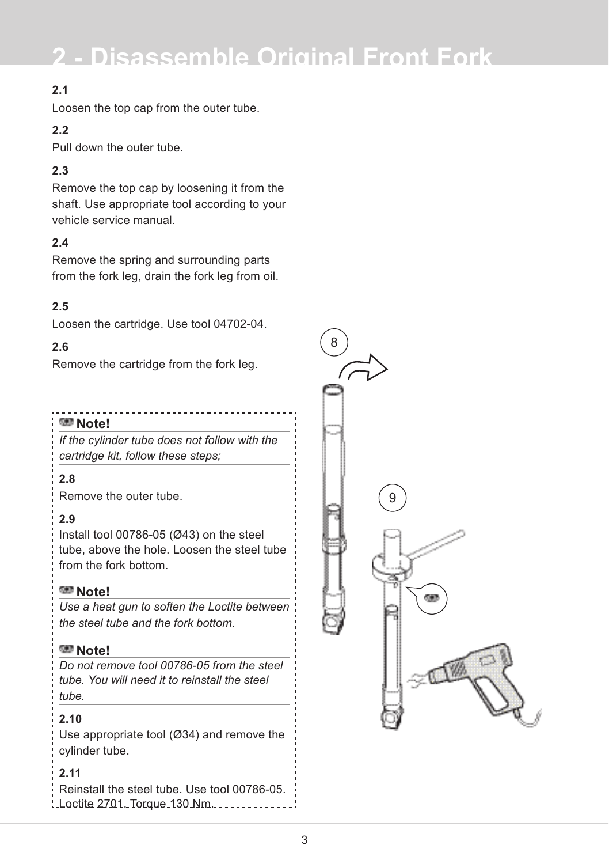# **2 - Disassemble Original Front Fork**

#### **2.1**

Loosen the top cap from the outer tube.

#### **2.2**

Pull down the outer tube.

#### **2.3**

Remove the top cap by loosening it from the shaft. Use appropriate tool according to your vehicle service manual.

#### **2.4**

Remove the spring and surrounding parts from the fork leg, drain the fork leg from oil.

#### **2.5**

Loosen the cartridge. Use tool 04702-04.

#### **2.6**

Remove the cartridge from the fork leg.

#### **Note!**

*If the cylinder tube does not follow with the cartridge kit, follow these steps;*

#### **2.8**

Remove the outer tube.

#### **2.9**

Install tool 00786-05 (Ø43) on the steel tube, above the hole. Loosen the steel tube from the fork bottom.

#### **Note!**

*Use a heat gun to soften the Loctite between the steel tube and the fork bottom.*

#### **Note!**

*Do not remove tool 00786-05 from the steel tube. You will need it to reinstall the steel tube.*

#### **2.10**

Use appropriate tool (Ø34) and remove the cylinder tube.

#### **2.11**

Reinstall the steel tube. Use tool 00786-05. Loctite 2701. Torque 130 Nm.

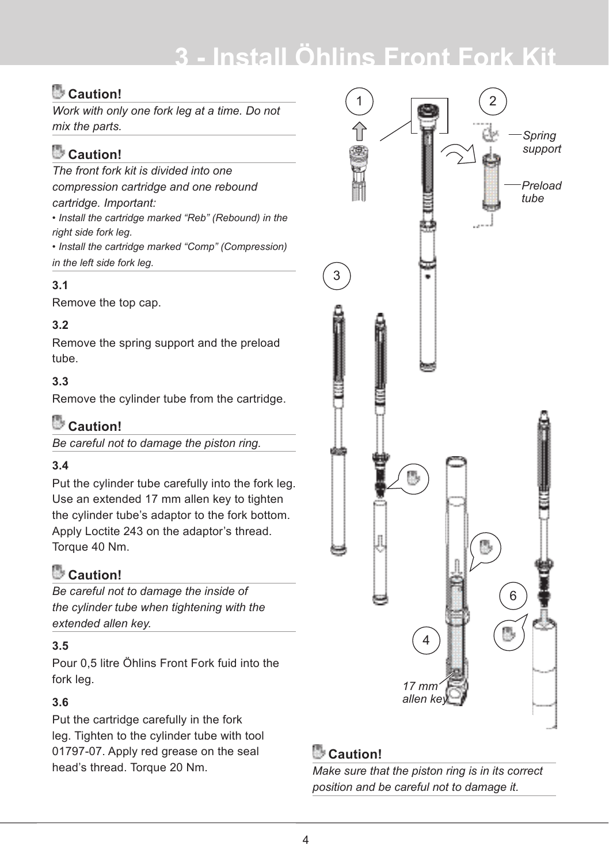# **3 - Install Öhlins Front Fork Kit**

### **Caution!**

*Work with only one fork leg at a time. Do not mix the parts.*

### **Caution!**

*The front fork kit is divided into one compression cartridge and one rebound cartridge. Important:*

*• Install the cartridge marked "Reb" (Rebound) in the right side fork leg.* 

*• Install the cartridge marked "Comp" (Compression) in the left side fork leg.*

#### **3.1**

Remove the top cap.

#### **3.2**

Remove the spring support and the preload tube.

#### **3.3**

Remove the cylinder tube from the cartridge.

### **Caution!**

*Be careful not to damage the piston ring.*

#### **3.4**

Put the cylinder tube carefully into the fork leg. Use an extended 17 mm allen key to tighten the cylinder tube's adaptor to the fork bottom. Apply Loctite 243 on the adaptor's thread. Torque 40 Nm.

### **Caution!**

*Be careful not to damage the inside of the cylinder tube when tightening with the extended allen key.*

#### **3.5**

Pour 0,5 litre Öhlins Front Fork fuid into the fork leg.

#### **3.6**

Put the cartridge carefully in the fork leg. Tighten to the cylinder tube with tool 01797-07. Apply red grease on the seal head's thread. Torque 20 Nm.

*position and be careful not to damage it.*



### **Caution!**

*Make sure that the piston ring is in its correct position and be careful not to damage it.*